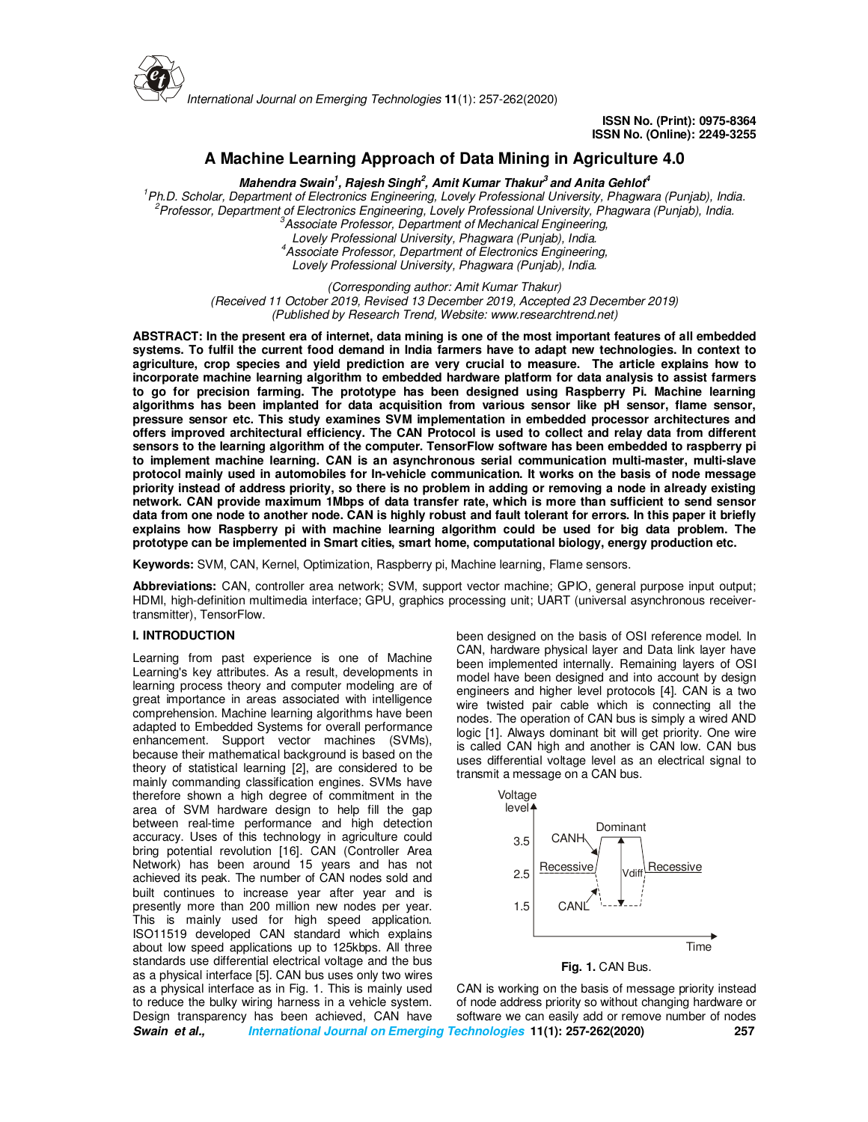

*International Journal on Emerging Technologies* **11**(1): 257-262(2020)

**ISSN No. (Print): 0975-8364 ISSN No. (Online): 2249-3255** 

# **A Machine Learning Approach of Data Mining in Agriculture 4.0**

**Mahendra Swain<sup>1</sup> , Rajesh Singh<sup>2</sup> , Amit Kumar Thakur<sup>3</sup>and Anita Gehlot<sup>4</sup>** *1 Ph.D. Scholar, Department of Electronics Engineering, Lovely Professional University, Phagwara (Punjab), India. 2 Professor, Department of Electronics Engineering, Lovely Professional University, Phagwara (Punjab), India. 3 Associate Professor, Department of Mechanical Engineering, Lovely Professional University, Phagwara (Punjab), India. 4 Associate Professor, Department of Electronics Engineering, Lovely Professional University, Phagwara (Punjab), India.*

> *(Corresponding author: Amit Kumar Thakur) (Received 11 October 2019, Revised 13 December 2019, Accepted 23 December 2019) (Published by Research Trend, Website: www.researchtrend.net)*

**ABSTRACT: In the present era of internet, data mining is one of the most important features of all embedded systems. To fulfil the current food demand in India farmers have to adapt new technologies. In context to agriculture, crop species and yield prediction are very crucial to measure. The article explains how to incorporate machine learning algorithm to embedded hardware platform for data analysis to assist farmers to go for precision farming. The prototype has been designed using Raspberry Pi. Machine learning algorithms has been implanted for data acquisition from various sensor like pH sensor, flame sensor, pressure sensor etc. This study examines SVM implementation in embedded processor architectures and offers improved architectural efficiency. The CAN Protocol is used to collect and relay data from different sensors to the learning algorithm of the computer. TensorFlow software has been embedded to raspberry pi to implement machine learning. CAN is an asynchronous serial communication multi-master, multi-slave protocol mainly used in automobiles for In-vehicle communication. It works on the basis of node message priority instead of address priority, so there is no problem in adding or removing a node in already existing network. CAN provide maximum 1Mbps of data transfer rate, which is more than sufficient to send sensor data from one node to another node. CAN is highly robust and fault tolerant for errors. In this paper it briefly explains how Raspberry pi with machine learning algorithm could be used for big data problem. The prototype can be implemented in Smart cities, smart home, computational biology, energy production etc.** 

**Keywords:** SVM, CAN, Kernel, Optimization, Raspberry pi, Machine learning, Flame sensors.

**Abbreviations:** CAN, controller area network; SVM, support vector machine; GPIO, general purpose input output; HDMI, high-definition multimedia interface; GPU, graphics processing unit; UART (universal asynchronous receivertransmitter), TensorFlow.

#### **I. INTRODUCTION**

**Swain et al., International Journal on Emerging Technologies 11(1): 257-262(2020) 257**  Learning from past experience is one of Machine Learning's key attributes. As a result, developments in learning process theory and computer modeling are of great importance in areas associated with intelligence comprehension. Machine learning algorithms have been adapted to Embedded Systems for overall performance enhancement. Support vector machines (SVMs), because their mathematical background is based on the theory of statistical learning [2], are considered to be mainly commanding classification engines. SVMs have therefore shown a high degree of commitment in the area of SVM hardware design to help fill the gap between real-time performance and high detection accuracy. Uses of this technology in agriculture could bring potential revolution [16]. CAN (Controller Area Network) has been around 15 years and has not achieved its peak. The number of CAN nodes sold and built continues to increase year after year and is presently more than 200 million new nodes per year. This is mainly used for high speed application. ISO11519 developed CAN standard which explains about low speed applications up to 125kbps. All three standards use differential electrical voltage and the bus as a physical interface [5]. CAN bus uses only two wires as a physical interface as in Fig. 1. This is mainly used to reduce the bulky wiring harness in a vehicle system. Design transparency has been achieved, CAN have

been designed on the basis of OSI reference model. In CAN, hardware physical layer and Data link layer have been implemented internally. Remaining layers of OSI model have been designed and into account by design engineers and higher level protocols [4]. CAN is a two wire twisted pair cable which is connecting all the nodes. The operation of CAN bus is simply a wired AND logic [1]. Always dominant bit will get priority. One wire is called CAN high and another is CAN low. CAN bus uses differential voltage level as an electrical signal to transmit a message on a CAN bus.



CAN is working on the basis of message priority instead of node address priority so without changing hardware or software we can easily add or remove number of nodes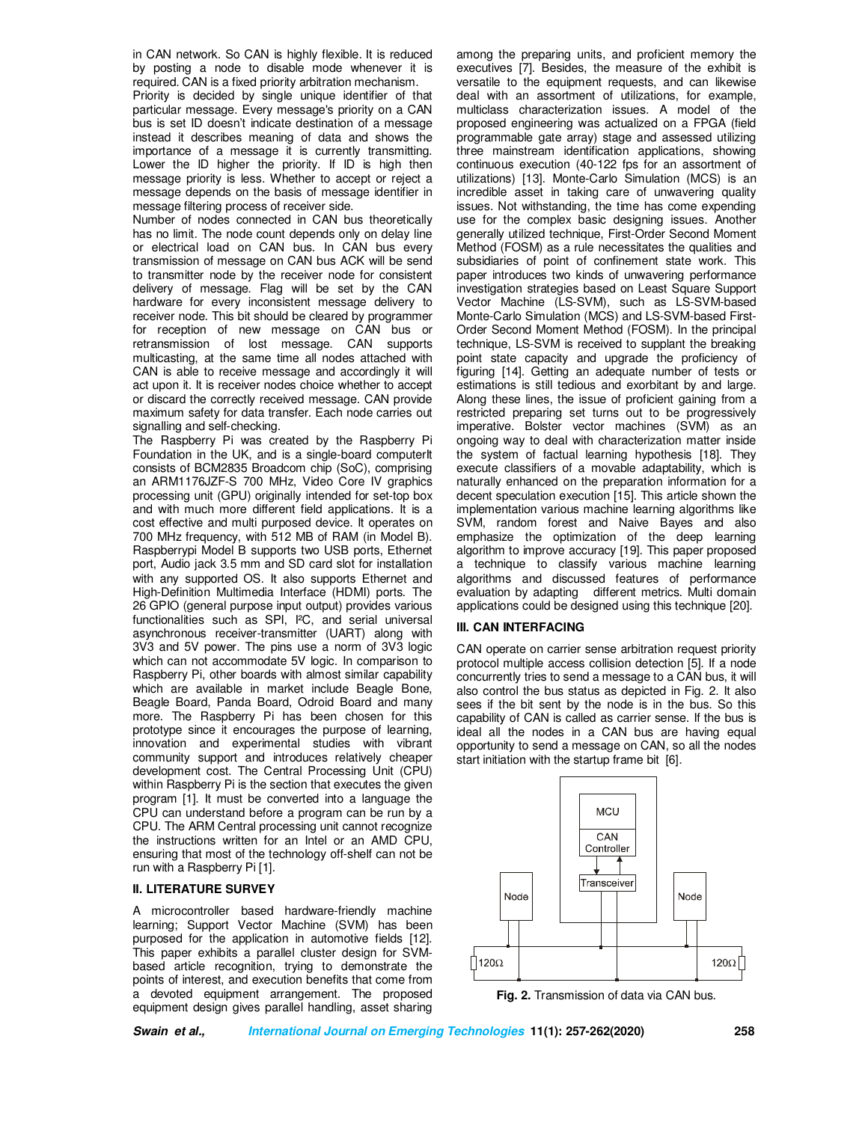in CAN network. So CAN is highly flexible. It is reduced by posting a node to disable mode whenever it is required. CAN is a fixed priority arbitration mechanism.

Priority is decided by single unique identifier of that particular message. Every message's priority on a CAN bus is set ID doesn't indicate destination of a message instead it describes meaning of data and shows the importance of a message it is currently transmitting. Lower the ID higher the priority. If ID is high then message priority is less. Whether to accept or reject a message depends on the basis of message identifier in message filtering process of receiver side.

Number of nodes connected in CAN bus theoretically has no limit. The node count depends only on delay line or electrical load on CAN bus. In CAN bus every transmission of message on CAN bus ACK will be send to transmitter node by the receiver node for consistent delivery of message. Flag will be set by the CAN hardware for every inconsistent message delivery to receiver node. This bit should be cleared by programmer for reception of new message on CAN bus or retransmission of lost message. CAN supports multicasting, at the same time all nodes attached with CAN is able to receive message and accordingly it will act upon it. It is receiver nodes choice whether to accept or discard the correctly received message. CAN provide maximum safety for data transfer. Each node carries out signalling and self-checking.

The Raspberry Pi was created by the Raspberry Pi Foundation in the UK, and is a single-board computerIt consists of BCM2835 Broadcom chip (SoC), comprising an ARM1176JZF-S 700 MHz, Video Core IV graphics processing unit (GPU) originally intended for set-top box and with much more different field applications. It is a cost effective and multi purposed device. It operates on 700 MHz frequency, with 512 MB of RAM (in Model B). Raspberrypi Model B supports two USB ports, Ethernet port, Audio jack 3.5 mm and SD card slot for installation with any supported OS. It also supports Ethernet and High-Definition Multimedia Interface (HDMI) ports. The 26 GPIO (general purpose input output) provides various functionalities such as SPI, I²C, and serial universal asynchronous receiver-transmitter (UART) along with 3V3 and 5V power. The pins use a norm of 3V3 logic which can not accommodate 5V logic. In comparison to Raspberry Pi, other boards with almost similar capability which are available in market include Beagle Bone. Beagle Board, Panda Board, Odroid Board and many more. The Raspberry Pi has been chosen for this prototype since it encourages the purpose of learning, innovation and experimental studies with vibrant community support and introduces relatively cheaper development cost. The Central Processing Unit (CPU) within Raspberry Pi is the section that executes the given program [1]. It must be converted into a language the CPU can understand before a program can be run by a CPU. The ARM Central processing unit cannot recognize the instructions written for an Intel or an AMD CPU, ensuring that most of the technology off-shelf can not be run with a Raspberry Pi [1].

## **II. LITERATURE SURVEY**

A microcontroller based hardware-friendly machine learning; Support Vector Machine (SVM) has been purposed for the application in automotive fields [12]. This paper exhibits a parallel cluster design for SVMbased article recognition, trying to demonstrate the points of interest, and execution benefits that come from a devoted equipment arrangement. The proposed equipment design gives parallel handling, asset sharing

among the preparing units, and proficient memory the executives [7]. Besides, the measure of the exhibit is versatile to the equipment requests, and can likewise deal with an assortment of utilizations, for example, multiclass characterization issues. A model of the proposed engineering was actualized on a FPGA (field programmable gate array) stage and assessed utilizing three mainstream identification applications, showing continuous execution (40-122 fps for an assortment of utilizations) [13]. Monte-Carlo Simulation (MCS) is an incredible asset in taking care of unwavering quality issues. Not withstanding, the time has come expending use for the complex basic designing issues. Another generally utilized technique, First-Order Second Moment Method (FOSM) as a rule necessitates the qualities and subsidiaries of point of confinement state work. This paper introduces two kinds of unwavering performance investigation strategies based on Least Square Support Vector Machine (LS-SVM), such as LS-SVM-based Monte-Carlo Simulation (MCS) and LS-SVM-based First-Order Second Moment Method (FOSM). In the principal technique, LS-SVM is received to supplant the breaking point state capacity and upgrade the proficiency of figuring [14]. Getting an adequate number of tests or estimations is still tedious and exorbitant by and large. Along these lines, the issue of proficient gaining from a restricted preparing set turns out to be progressively imperative. Bolster vector machines (SVM) as an ongoing way to deal with characterization matter inside the system of factual learning hypothesis [18]. They execute classifiers of a movable adaptability, which is naturally enhanced on the preparation information for a decent speculation execution [15]. This article shown the implementation various machine learning algorithms like SVM, random forest and Naive Bayes and also emphasize the optimization of the deep learning algorithm to improve accuracy [19]. This paper proposed a technique to classify various machine learning algorithms and discussed features of performance evaluation by adapting different metrics. Multi domain applications could be designed using this technique [20].

#### **III. CAN INTERFACING**

CAN operate on carrier sense arbitration request priority protocol multiple access collision detection [5]. If a node concurrently tries to send a message to a CAN bus, it will also control the bus status as depicted in Fig. 2. It also sees if the bit sent by the node is in the bus. So this capability of CAN is called as carrier sense. If the bus is ideal all the nodes in a CAN bus are having equal opportunity to send a message on CAN, so all the nodes start initiation with the startup frame bit [6].



**Fig. 2.** Transmission of data via CAN bus.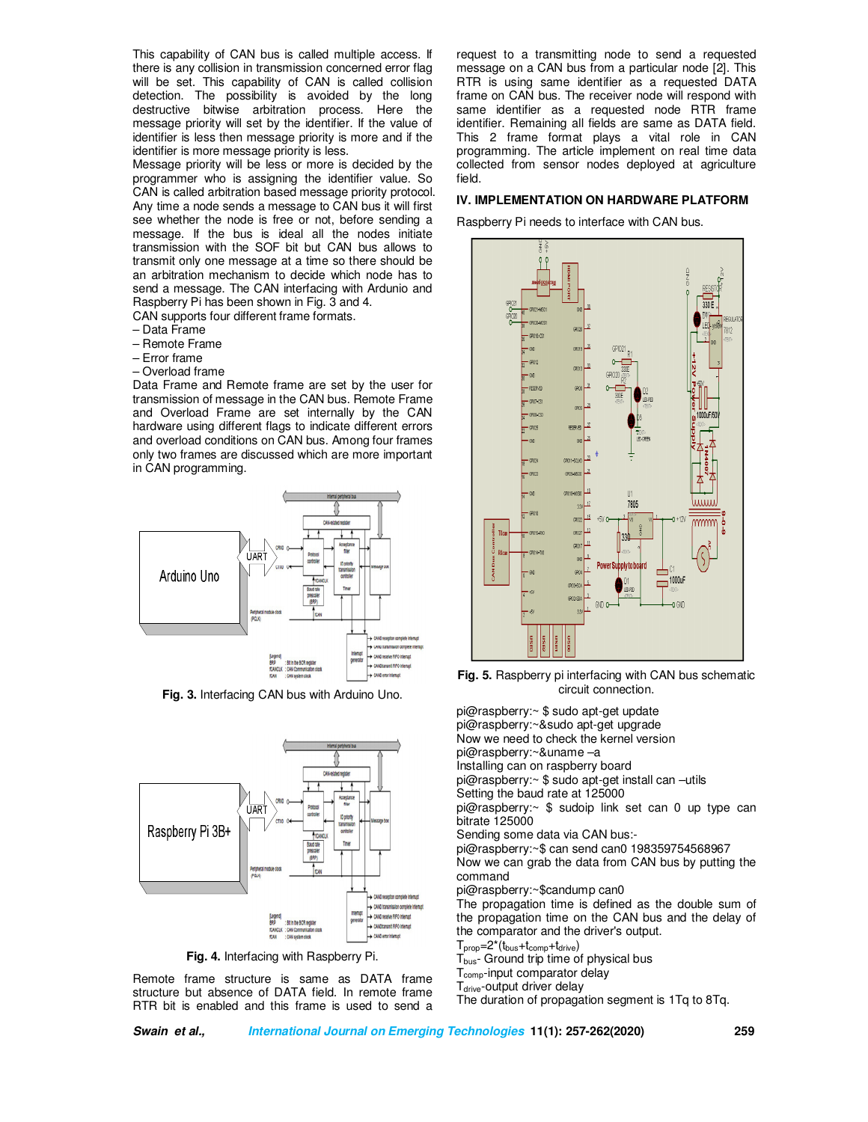This capability of CAN bus is called multiple access. If there is any collision in transmission concerned error flag will be set. This capability of CAN is called collision detection. The possibility is avoided by the long destructive bitwise arbitration process. Here the message priority will set by the identifier. If the value of identifier is less then message priority is more and if the identifier is more message priority is less.

Message priority will be less or more is decided by the programmer who is assigning the identifier value. So CAN is called arbitration based message priority protocol. Any time a node sends a message to CAN bus it will first see whether the node is free or not, before sending a message. If the bus is ideal all the nodes initiate transmission with the SOF bit but CAN bus allows to transmit only one message at a time so there should be an arbitration mechanism to decide which node has to send a message. The CAN interfacing with Ardunio and Raspberry Pi has been shown in Fig. 3 and 4.

CAN supports four different frame formats.

- Data Frame
- Remote Frame
- Error frame
- Overload frame

Data Frame and Remote frame are set by the user for transmission of message in the CAN bus. Remote Frame and Overload Frame are set internally by the CAN hardware using different flags to indicate different errors and overload conditions on CAN bus. Among four frames only two frames are discussed which are more important in CAN programming.



**Fig. 3.** Interfacing CAN bus with Arduino Uno.



**Fig. 4.** Interfacing with Raspberry Pi.

Remote frame structure is same as DATA frame structure but absence of DATA field. In remote frame RTR bit is enabled and this frame is used to send a request to a transmitting node to send a requested message on a CAN bus from a particular node [2]. This RTR is using same identifier as a requested DATA frame on CAN bus. The receiver node will respond with same identifier as a requested node RTR frame identifier. Remaining all fields are same as DATA field. This 2 frame format plays a vital role in CAN programming. The article implement on real time data collected from sensor nodes deployed at agriculture field.

## **IV. IMPLEMENTATION ON HARDWARE PLATFORM**

Raspberry Pi needs to interface with CAN bus.



**Fig. 5.** Raspberry pi interfacing with CAN bus schematic circuit connection.

pi@raspberry:~ \$ sudo apt-get update pi@raspberry:~&sudo apt-get upgrade Now we need to check the kernel version pi@raspberry:~&uname –a Installing can on raspberry board pi@raspberry:~ \$ sudo apt-get install can –utils Setting the baud rate at 125000 pi@raspberry:~ \$ sudoip link set can 0 up type can bitrate 125000 Sending some data via CAN bus: pi@raspberry:~\$ can send can0 198359754568967 Now we can grab the data from CAN bus by putting the command pi@raspberry:~\$candump can0 The propagation time is defined as the double sum of the propagation time on the CAN bus and the delay of the comparator and the driver's output.  $T_{\text{prop}}=2^*(t_{\text{bus}}+t_{\text{comp}}+t_{\text{drive}})$ T<sub>bus</sub>- Ground trip time of physical bus T<sub>comp</sub>-input comparator delay T<sub>drive</sub>-output driver delay

The duration of propagation segment is 1Tq to 8Tq.

**Swain et al., International Journal on Emerging Technologies 11(1): 257-262(2020) 259**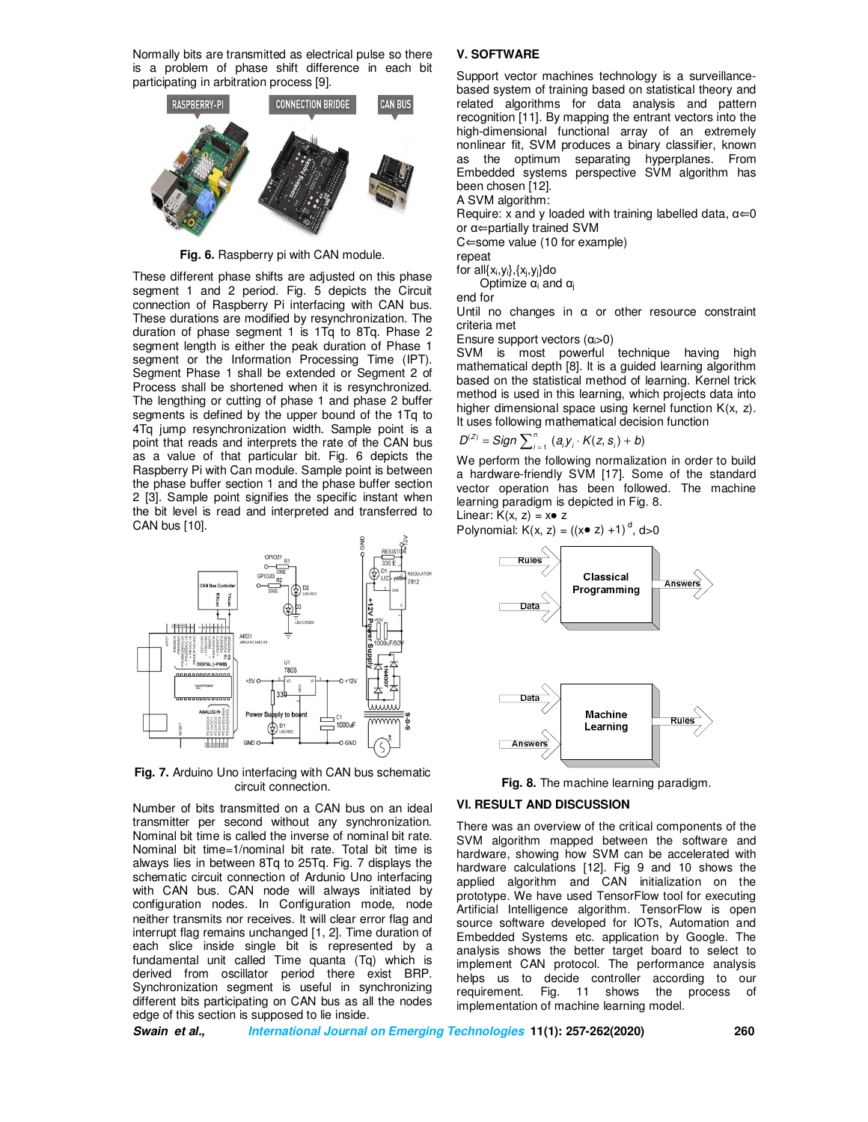Normally bits are transmitted as electrical pulse so there is a problem of phase shift difference in each bit participating in arbitration process [9].



**Fig. 6.** Raspberry pi with CAN module.

These different phase shifts are adjusted on this phase segment 1 and 2 period. Fig. 5 depicts the Circuit connection of Raspberry Pi interfacing with CAN bus. These durations are modified by resynchronization. The duration of phase segment 1 is 1Tq to 8Tq. Phase 2 segment length is either the peak duration of Phase 1 segment or the Information Processing Time (IPT). Segment Phase 1 shall be extended or Segment 2 of Process shall be shortened when it is resynchronized. The lengthing or cutting of phase 1 and phase 2 buffer segments is defined by the upper bound of the 1Tq to 4Tq jump resynchronization width. Sample point is a point that reads and interprets the rate of the CAN bus as a value of that particular bit. Fig. 6 depicts the Raspberry Pi with Can module. Sample point is between the phase buffer section 1 and the phase buffer section 2 [3]. Sample point signifies the specific instant when the bit level is read and interpreted and transferred to CAN bus [10].



**Fig. 7.** Arduino Uno interfacing with CAN bus schematic circuit connection.

Number of bits transmitted on a CAN bus on an ideal transmitter per second without any synchronization. Nominal bit time is called the inverse of nominal bit rate. Nominal bit time=1/nominal bit rate. Total bit time is always lies in between 8Tq to 25Tq. Fig. 7 displays the schematic circuit connection of Ardunio Uno interfacing with CAN bus. CAN node will always initiated by configuration nodes. In Configuration mode, node neither transmits nor receives. It will clear error flag and interrupt flag remains unchanged [1, 2]. Time duration of each slice inside single bit is represented by a fundamental unit called Time quanta (Tq) which is derived from oscillator period there exist BRP. Synchronization segment is useful in synchronizing different bits participating on CAN bus as all the nodes edge of this section is supposed to lie inside.

### **V. SOFTWARE**

Support vector machines technology is a surveillancebased system of training based on statistical theory and related algorithms for data analysis and pattern recognition [11]. By mapping the entrant vectors into the high-dimensional functional array of an extremely nonlinear fit, SVM produces a binary classifier, known as the optimum separating hyperplanes. From Embedded systems perspective SVM algorithm has been chosen [12].

A SVM algorithm:

Require: x and y loaded with training labelled data,  $\alpha \in 0$ or α⇐partially trained SVM

C⇐some value (10 for example)

repeat

for  $all\{x_i, y_i\}, \{x_j, y_j\}$ do

Optimize  $\alpha_i$  and  $\alpha_i$ 

end for

Until no changes in  $\alpha$  or other resource constraint criteria met

Ensure support vectors (αi>0)

SVM is most powerful technique having high mathematical depth [8]. It is a guided learning algorithm based on the statistical method of learning. Kernel trick method is used in this learning, which projects data into higher dimensional space using kernel function K(x, z). It uses following mathematical decision function

$$
D^{(z)} = Sign \sum_{i=1}^{n} (a_i y_i \cdot K(z, s_i) + b)
$$

We perform the following normalization in order to build a hardware-friendly SVM [17]. Some of the standard vector operation has been followed. The machine learning paradigm is depicted in Fig. 8.

Linear:  $K(x, z) = x \cdot z$ Polynomial:  $K(x, z) = ((x \cdot z) + 1)^d, d > 0$ 



Learning

**Fig. 8.** The machine learning paradigm.

## **VI. RESULT AND DISCUSSION**

Answers

There was an overview of the critical components of the SVM algorithm mapped between the software and hardware, showing how SVM can be accelerated with hardware calculations [12]. Fig 9 and 10 shows the applied algorithm and CAN initialization on the prototype. We have used TensorFlow tool for executing Artificial Intelligence algorithm. TensorFlow is open source software developed for IOTs, Automation and Embedded Systems etc. application by Google. The analysis shows the better target board to select to implement CAN protocol. The performance analysis helps us to decide controller according to our requirement. Fig. 11 shows the process of implementation of machine learning model.

**Swain et al., International Journal on Emerging Technologies 11(1): 257-262(2020) 260**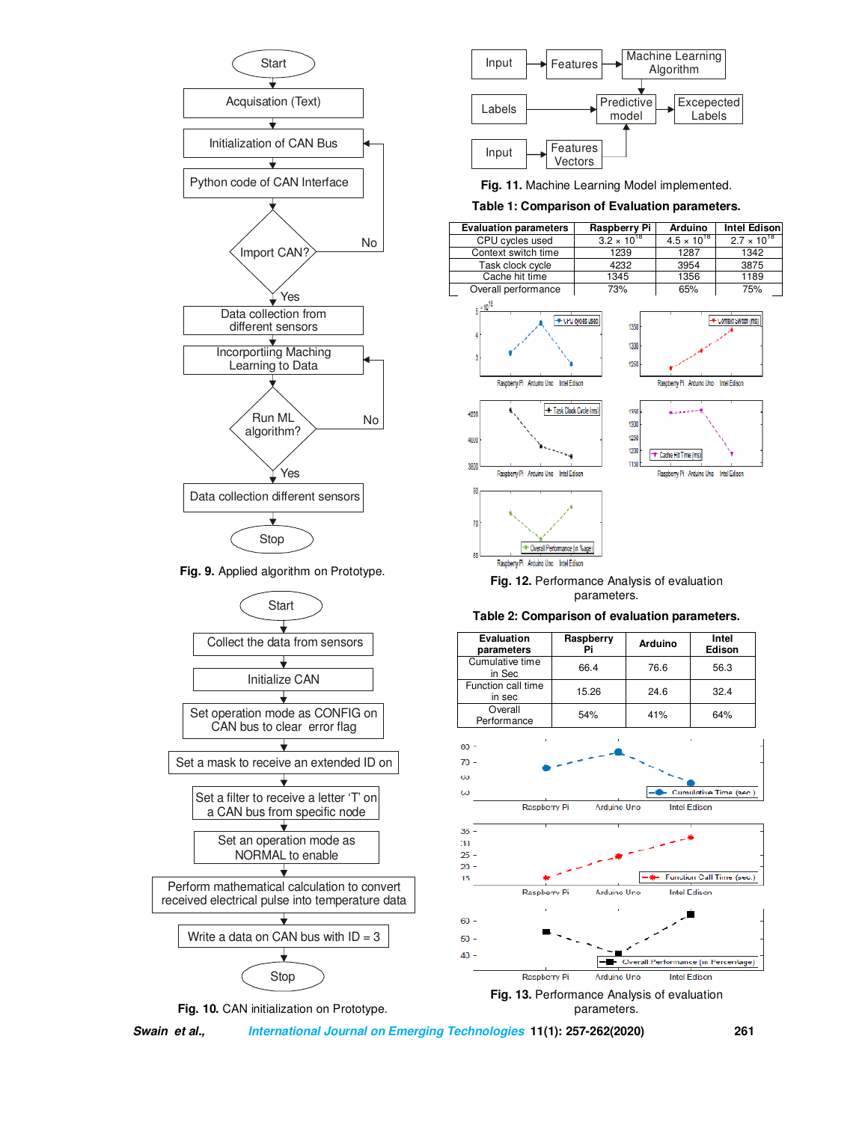

**Fig. 9.** Applied algorithm on Prototype.







**Fig. 11.** Machine Learning Model implemented.

# **Table 1: Comparison of Evaluation parameters.**

|  | <b>Evaluation parameters</b> | Raspberry Pi         | Arduino              | <b>Intel Edison</b>  |
|--|------------------------------|----------------------|----------------------|----------------------|
|  | CPU cycles used              | $3.2 \times 10^{18}$ | $4.5 \times 10^{18}$ | $2.7 \times 10^{18}$ |
|  | Context switch time          | 1239                 | 1287                 | 1342                 |
|  | Task clock cycle             | 4232                 | 3954                 | 3875                 |
|  | Cache hit time               | 1345                 | 1356                 | 1189                 |
|  | Overall performance          | 73%                  | 65%                  | 75%                  |



**Fig. 12.** Performance Analysis of evaluation parameters.



**Table 2: Comparison of evaluation parameters.**

**Swain et al., International Journal on Emerging Technologies 11(1): 257-262(2020) 261**